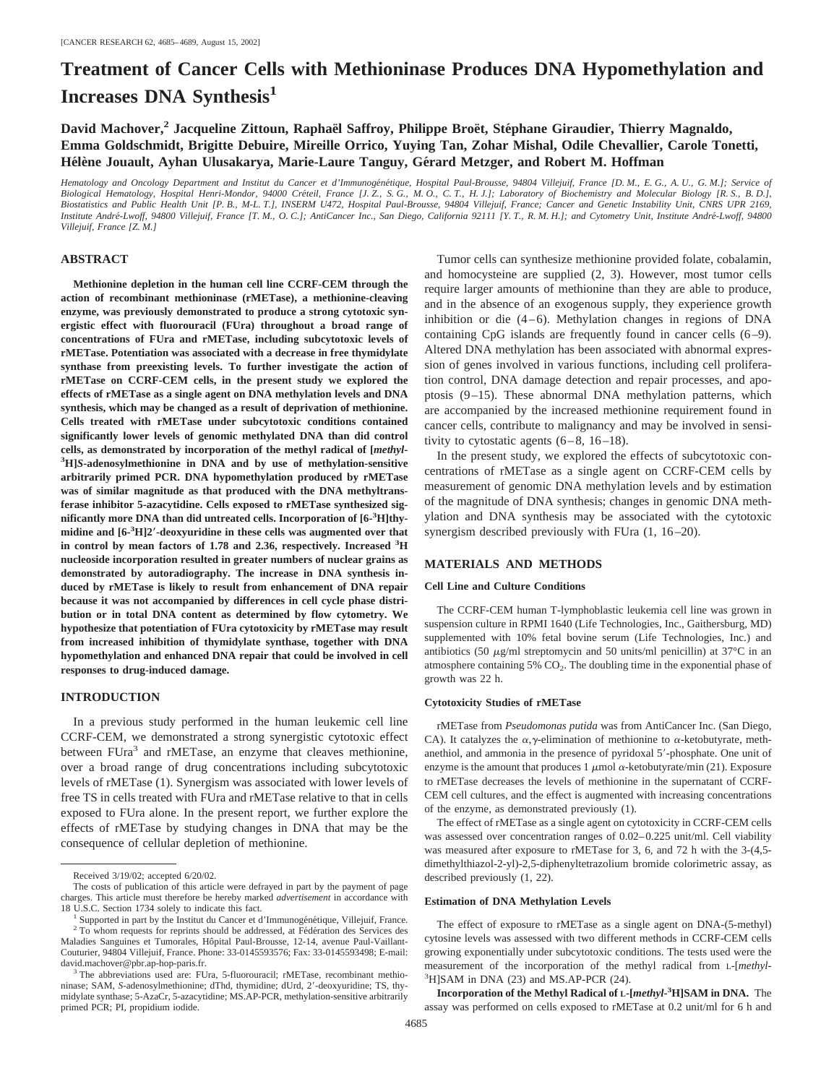# **Treatment of Cancer Cells with Methioninase Produces DNA Hypomethylation and Increases DNA Synthesis<sup>1</sup>**

David Machover,<sup>2</sup> Jacqueline Zittoun, Raphaël Saffroy, Philippe Broët, Stéphane Giraudier, Thierry Magnaldo, **Emma Goldschmidt, Brigitte Debuire, Mireille Orrico, Yuying Tan, Zohar Mishal, Odile Chevallier, Carole Tonetti, Hélène Jouault, Ayhan Ulusakarya, Marie-Laure Tanguy, Gérard Metzger, and Robert M. Hoffman** 

*Hematology and Oncology Department and Institut du Cancer et d'Immunogénétique, Hospital Paul-Brousse, 94804 Villejuif, France [D. M., E. G., A. U., G. M.]; Service of* Biological Hematology, Hospital Henri-Mondor, 94000 Créteil, France [J. Z., S. G., M. O., C. T., H. J.]; Laboratory of Biochemistry and Molecular Biology [R. S., B. D.], *Biostatistics and Public Health Unit [P. B., M-L. T.], INSERM U472, Hospital Paul-Brousse, 94804 Villejuif, France; Cancer and Genetic Instability Unit, CNRS UPR 2169, Institute Andre´-Lwoff, 94800 Villejuif, France [T. M., O. C.]; AntiCancer Inc., San Diego, California 92111 [Y. T., R. M. H.]; and Cytometry Unit, Institute Andre´-Lwoff, 94800 Villejuif, France [Z. M.]*

# **ABSTRACT**

**Methionine depletion in the human cell line CCRF-CEM through the action of recombinant methioninase (rMETase), a methionine-cleaving enzyme, was previously demonstrated to produce a strong cytotoxic synergistic effect with fluorouracil (FUra) throughout a broad range of concentrations of FUra and rMETase, including subcytotoxic levels of rMETase. Potentiation was associated with a decrease in free thymidylate synthase from preexisting levels. To further investigate the action of rMETase on CCRF-CEM cells, in the present study we explored the effects of rMETase as a single agent on DNA methylation levels and DNA synthesis, which may be changed as a result of deprivation of methionine. Cells treated with rMETase under subcytotoxic conditions contained significantly lower levels of genomic methylated DNA than did control cells, as demonstrated by incorporation of the methyl radical of [***methyl***- 3 H]***S***-adenosylmethionine in DNA and by use of methylation-sensitive arbitrarily primed PCR. DNA hypomethylation produced by rMETase was of similar magnitude as that produced with the DNA methyltransferase inhibitor 5-azacytidine. Cells exposed to rMETase synthesized significantly more DNA than did untreated cells. Incorporation of [6-3 H]thymidine and [6-3 H]2-deoxyuridine in these cells was augmented over that in control by mean factors of 1.78 and 2.36, respectively. Increased <sup>3</sup> H nucleoside incorporation resulted in greater numbers of nuclear grains as demonstrated by autoradiography. The increase in DNA synthesis induced by rMETase is likely to result from enhancement of DNA repair because it was not accompanied by differences in cell cycle phase distribution or in total DNA content as determined by flow cytometry. We hypothesize that potentiation of FUra cytotoxicity by rMETase may result from increased inhibition of thymidylate synthase, together with DNA hypomethylation and enhanced DNA repair that could be involved in cell responses to drug-induced damage.**

## **INTRODUCTION**

In a previous study performed in the human leukemic cell line CCRF-CEM, we demonstrated a strong synergistic cytotoxic effect between FUra<sup>3</sup> and rMETase, an enzyme that cleaves methionine, over a broad range of drug concentrations including subcytotoxic levels of rMETase (1). Synergism was associated with lower levels of free TS in cells treated with FUra and rMETase relative to that in cells exposed to FUra alone. In the present report, we further explore the effects of rMETase by studying changes in DNA that may be the consequence of cellular depletion of methionine.

Tumor cells can synthesize methionine provided folate, cobalamin, and homocysteine are supplied (2, 3). However, most tumor cells require larger amounts of methionine than they are able to produce, and in the absence of an exogenous supply, they experience growth inhibition or die  $(4-6)$ . Methylation changes in regions of DNA containing CpG islands are frequently found in cancer cells (6–9). Altered DNA methylation has been associated with abnormal expression of genes involved in various functions, including cell proliferation control, DNA damage detection and repair processes, and apoptosis (9–15). These abnormal DNA methylation patterns, which are accompanied by the increased methionine requirement found in cancer cells, contribute to malignancy and may be involved in sensitivity to cytostatic agents (6–8, 16–18).

In the present study, we explored the effects of subcytotoxic concentrations of rMETase as a single agent on CCRF-CEM cells by measurement of genomic DNA methylation levels and by estimation of the magnitude of DNA synthesis; changes in genomic DNA methylation and DNA synthesis may be associated with the cytotoxic synergism described previously with FUra (1, 16–20).

# **MATERIALS AND METHODS**

## **Cell Line and Culture Conditions**

The CCRF-CEM human T-lymphoblastic leukemia cell line was grown in suspension culture in RPMI 1640 (Life Technologies, Inc., Gaithersburg, MD) supplemented with 10% fetal bovine serum (Life Technologies, Inc.) and antibiotics (50  $\mu$ g/ml streptomycin and 50 units/ml penicillin) at 37°C in an atmosphere containing  $5\%$  CO<sub>2</sub>. The doubling time in the exponential phase of growth was 22 h.

### **Cytotoxicity Studies of rMETase**

rMETase from *Pseudomonas putida* was from AntiCancer Inc. (San Diego, CA). It catalyzes the  $\alpha$ , y-elimination of methionine to  $\alpha$ -ketobutyrate, methanethiol, and ammonia in the presence of pyridoxal 5'-phosphate. One unit of enzyme is the amount that produces  $1 \mu$ mol  $\alpha$ -ketobutyrate/min (21). Exposure to rMETase decreases the levels of methionine in the supernatant of CCRF-CEM cell cultures, and the effect is augmented with increasing concentrations of the enzyme, as demonstrated previously (1).

The effect of rMETase as a single agent on cytotoxicity in CCRF-CEM cells was assessed over concentration ranges of 0.02–0.225 unit/ml. Cell viability was measured after exposure to rMETase for 3, 6, and 72 h with the 3-(4,5 dimethylthiazol-2-yl)-2,5-diphenyltetrazolium bromide colorimetric assay, as described previously (1, 22).

#### **Estimation of DNA Methylation Levels**

The effect of exposure to rMETase as a single agent on DNA-(5-methyl) cytosine levels was assessed with two different methods in CCRF-CEM cells growing exponentially under subcytotoxic conditions. The tests used were the measurement of the incorporation of the methyl radical from L-[*methyl*- <sup>3</sup>HJSAM in DNA (23) and MS.AP-PCR (24).

**Incorporation of the Methyl Radical of L-[***methyl***-3 H]SAM in DNA.** The assay was performed on cells exposed to rMETase at 0.2 unit/ml for 6 h and

Received 3/19/02; accepted 6/20/02.

The costs of publication of this article were defrayed in part by the payment of page charges. This article must therefore be hereby marked *advertisement* in accordance with

<sup>18</sup> U.S.C. Section 1734 solely to indicate this fact.<br> $^{1}$  Supported in part by the Institut du Cancer et d'Immunogénétique, Villejuif, France.<br> $^{2}$  To whom requests for reprints should be addressed, at Fédération des Se Maladies Sanguines et Tumorales, Hôpital Paul-Brousse, 12-14, avenue Paul-Vaillant-Couturier, 94804 Villejuif, France. Phone: 33-0145593576; Fax: 33-0145593498; E-mail: david.machover@pbr.ap-hop-paris.fr.<br><sup>3</sup> The abbreviations used are: FUra, 5-fluorouracil; rMETase, recombinant methio-

ninase; SAM, *S*-adenosylmethionine; dThd, thymidine; dUrd, 2-deoxyuridine; TS, thymidylate synthase; 5-AzaCr, 5-azacytidine; MS.AP-PCR, methylation-sensitive arbitrarily primed PCR; PI, propidium iodide.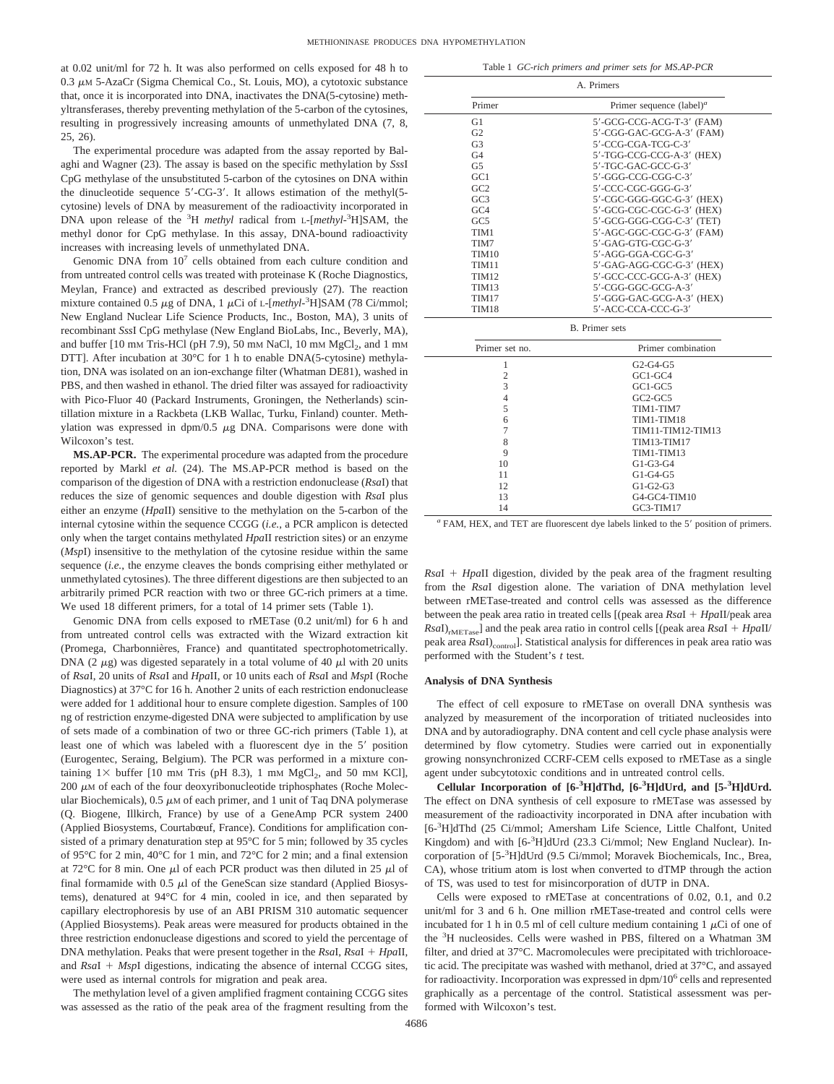at 0.02 unit/ml for 72 h. It was also performed on cells exposed for 48 h to  $0.3 \mu$ M 5-AzaCr (Sigma Chemical Co., St. Louis, MO), a cytotoxic substance that, once it is incorporated into DNA, inactivates the DNA(5-cytosine) methyltransferases, thereby preventing methylation of the 5-carbon of the cytosines, resulting in progressively increasing amounts of unmethylated DNA (7, 8, 25, 26).

The experimental procedure was adapted from the assay reported by Balaghi and Wagner (23). The assay is based on the specific methylation by *Sss*I CpG methylase of the unsubstituted 5-carbon of the cytosines on DNA within the dinucleotide sequence  $5'-CG-3'$ . It allows estimation of the methyl $(5-)$ cytosine) levels of DNA by measurement of the radioactivity incorporated in DNA upon release of the <sup>3</sup>H *methyl* radical from L-[*methyl*-<sup>3</sup>H]SAM, the methyl donor for CpG methylase. In this assay, DNA-bound radioactivity increases with increasing levels of unmethylated DNA.

Genomic DNA from 107 cells obtained from each culture condition and from untreated control cells was treated with proteinase K (Roche Diagnostics, Meylan, France) and extracted as described previously (27). The reaction mixture contained 0.5  $\mu$ g of DNA, 1  $\mu$ Ci of L-[*methyl*-<sup>3</sup>H]SAM (78 Ci/mmol; New England Nuclear Life Science Products, Inc., Boston, MA), 3 units of recombinant *Sss*I CpG methylase (New England BioLabs, Inc., Beverly, MA), and buffer  $[10 \text{ mm Tris-HCl (pH 7.9)}, 50 \text{ mm NaCl}, 10 \text{ mm MgCl}_2)$ , and  $1 \text{ mm}$ DTT]. After incubation at 30°C for 1 h to enable DNA(5-cytosine) methylation, DNA was isolated on an ion-exchange filter (Whatman DE81), washed in PBS, and then washed in ethanol. The dried filter was assayed for radioactivity with Pico-Fluor 40 (Packard Instruments, Groningen, the Netherlands) scintillation mixture in a Rackbeta (LKB Wallac, Turku, Finland) counter. Methylation was expressed in  $dpm/0.5 \mu g$  DNA. Comparisons were done with Wilcoxon's test.

**MS.AP-PCR.** The experimental procedure was adapted from the procedure reported by Markl *et al.* (24). The MS.AP-PCR method is based on the comparison of the digestion of DNA with a restriction endonuclease (*Rsa*I) that reduces the size of genomic sequences and double digestion with *Rsa*I plus either an enzyme (*Hpa*II) sensitive to the methylation on the 5-carbon of the internal cytosine within the sequence CCGG (*i.e.*, a PCR amplicon is detected only when the target contains methylated *Hpa*II restriction sites) or an enzyme (*Msp*I) insensitive to the methylation of the cytosine residue within the same sequence (*i.e.*, the enzyme cleaves the bonds comprising either methylated or unmethylated cytosines). The three different digestions are then subjected to an arbitrarily primed PCR reaction with two or three GC-rich primers at a time. We used 18 different primers, for a total of 14 primer sets (Table 1).

Genomic DNA from cells exposed to rMETase (0.2 unit/ml) for 6 h and from untreated control cells was extracted with the Wizard extraction kit (Promega, Charbonnières, France) and quantitated spectrophotometrically. DNA (2  $\mu$ g) was digested separately in a total volume of 40  $\mu$ l with 20 units of *Rsa*I, 20 units of *Rsa*I and *Hpa*II, or 10 units each of *Rsa*I and *Msp*I (Roche Diagnostics) at 37°C for 16 h. Another 2 units of each restriction endonuclease were added for 1 additional hour to ensure complete digestion. Samples of 100 ng of restriction enzyme-digested DNA were subjected to amplification by use of sets made of a combination of two or three GC-rich primers (Table 1), at least one of which was labeled with a fluorescent dye in the 5' position (Eurogentec, Seraing, Belgium). The PCR was performed in a mixture containing  $1\times$  buffer [10 mm Tris (pH 8.3), 1 mm  $MgCl_2$ , and 50 mm KCl],  $200 \mu$ M of each of the four deoxyribonucleotide triphosphates (Roche Molecular Biochemicals),  $0.5 \mu M$  of each primer, and 1 unit of Taq DNA polymerase (Q. Biogene, Illkirch, France) by use of a GeneAmp PCR system 2400 (Applied Biosystems, Courtabœuf, France). Conditions for amplification consisted of a primary denaturation step at 95°C for 5 min; followed by 35 cycles of 95°C for 2 min, 40°C for 1 min, and 72°C for 2 min; and a final extension at 72°C for 8 min. One  $\mu$ l of each PCR product was then diluted in 25  $\mu$ l of final formamide with  $0.5 \mu l$  of the GeneScan size standard (Applied Biosystems), denatured at 94°C for 4 min, cooled in ice, and then separated by capillary electrophoresis by use of an ABI PRISM 310 automatic sequencer (Applied Biosystems). Peak areas were measured for products obtained in the three restriction endonuclease digestions and scored to yield the percentage of DNA methylation. Peaks that were present together in the *Rsa*I, *Rsa*I *Hpa*II, and  $RsaI + MspI$  digestions, indicating the absence of internal CCGG sites, were used as internal controls for migration and peak area.

The methylation level of a given amplified fragment containing CCGG sites was assessed as the ratio of the peak area of the fragment resulting from the

Table 1 *GC-rich primers and primer sets for MS.AP-PCR*

|                 | A. Primers                                     |
|-----------------|------------------------------------------------|
| Primer          | Primer sequence $(label)^a$                    |
| G1              | 5'-GCG-CCG-ACG-T-3' (FAM)                      |
| G2              | 5'-CGG-GAC-GCG-A-3' (FAM)                      |
| G <sub>3</sub>  | 5'-CCG-CGA-TCG-C-3'                            |
| G4              | 5'-TGG-CCG-CCG-A-3' (HEX)                      |
| G5              | 5'-TGC-GAC-GCC-G-3'                            |
| GCl             | 5'-GGG-CCG-CGG-C-3'                            |
| GC2             | 5'-CCC-CGC-GGG-G-3'                            |
| GC3             | 5'-CGC-GGG-GGC-G-3' (HEX)                      |
| GC <sub>4</sub> | 5'-GCG-CGC-CGC-G-3' (HEX)                      |
| GC5             | 5'-GCG-GGG-CGG-C-3' (TET)                      |
| TIM1            | 5'-AGC-GGC-CGC-G-3' (FAM)                      |
| TIM7            | 5'-GAG-GTG-CGC-G-3'                            |
| TIM10           | $5'$ -AGG-GGA-CGC-G-3'                         |
| TIM11           | 5'-GAG-AGG-CGC-G-3' (HEX)                      |
| <b>TIM12</b>    | 5'-GCC-CCC-GCG-A-3' (HEX)                      |
| TIM13           | 5'-CGG-GGC-GCG-A-3'                            |
| <b>TIM17</b>    | 5'-GGG-GAC-GCG-A-3' (HEX)                      |
| TIM18           | 5'-ACC-CCA-CCC-G-3'                            |
|                 | <b>B.</b> Primer sets                          |
| Primer set no.  | Primer combination                             |
| 1               | G <sub>2</sub> -G <sub>4</sub> -G <sub>5</sub> |
| $\overline{2}$  | $GCl-GC4$                                      |
| 3               | $GCI-GC5$                                      |
| $\overline{4}$  | $GC2-GC5$                                      |
| 5               | TIM1-TIM7                                      |
| 6               | TIM1-TIM18                                     |
| 7               | TIM11-TIM12-TIM13                              |
| 8               | <b>TIM13-TIM17</b>                             |
| 9               | TIM1-TIM13                                     |
| 10              | $G1-G3-G4$                                     |
| 11              | $G1-G4-G5$                                     |
| 12              | $G1-G2-G3$                                     |
| 13              | G4-GC4-TIM10                                   |
| 14              | GC3-TIM17                                      |

<sup>*a*</sup> FAM, HEX, and TET are fluorescent dye labels linked to the 5' position of primers.

*Rsa*I *Hpa*II digestion, divided by the peak area of the fragment resulting from the *Rsa*I digestion alone. The variation of DNA methylation level between rMETase-treated and control cells was assessed as the difference between the peak area ratio in treated cells [(peak area *Rsa*I *Hpa*II/peak area  $RsaI$ <sub>rMETase</sub>] and the peak area ratio in control cells [(peak area  $RsaI + HpaII$ ) peak area *RsaI*)<sub>control</sub>]. Statistical analysis for differences in peak area ratio was performed with the Student's *t* test.

#### **Analysis of DNA Synthesis**

The effect of cell exposure to rMETase on overall DNA synthesis was analyzed by measurement of the incorporation of tritiated nucleosides into DNA and by autoradiography. DNA content and cell cycle phase analysis were determined by flow cytometry. Studies were carried out in exponentially growing nonsynchronized CCRF-CEM cells exposed to rMETase as a single agent under subcytotoxic conditions and in untreated control cells.

**Cellular Incorporation of [6-3 H]dThd, [6-3 H]dUrd, and [5-3 H]dUrd.** The effect on DNA synthesis of cell exposure to rMETase was assessed by measurement of the radioactivity incorporated in DNA after incubation with [6-<sup>3</sup>H]dThd (25 Ci/mmol; Amersham Life Science, Little Chalfont, United Kingdom) and with [6<sup>-3</sup>H]dUrd (23.3 Ci/mmol; New England Nuclear). Incorporation of [5-3 H]dUrd (9.5 Ci/mmol; Moravek Biochemicals, Inc., Brea, CA), whose tritium atom is lost when converted to dTMP through the action of TS, was used to test for misincorporation of dUTP in DNA.

Cells were exposed to rMETase at concentrations of 0.02, 0.1, and 0.2 unit/ml for 3 and 6 h. One million rMETase-treated and control cells were incubated for 1 h in 0.5 ml of cell culture medium containing 1  $\mu$ Ci of one of the <sup>3</sup> H nucleosides. Cells were washed in PBS, filtered on a Whatman 3M filter, and dried at 37°C. Macromolecules were precipitated with trichloroacetic acid. The precipitate was washed with methanol, dried at 37°C, and assayed for radioactivity. Incorporation was expressed in dpm/106 cells and represented graphically as a percentage of the control. Statistical assessment was performed with Wilcoxon's test.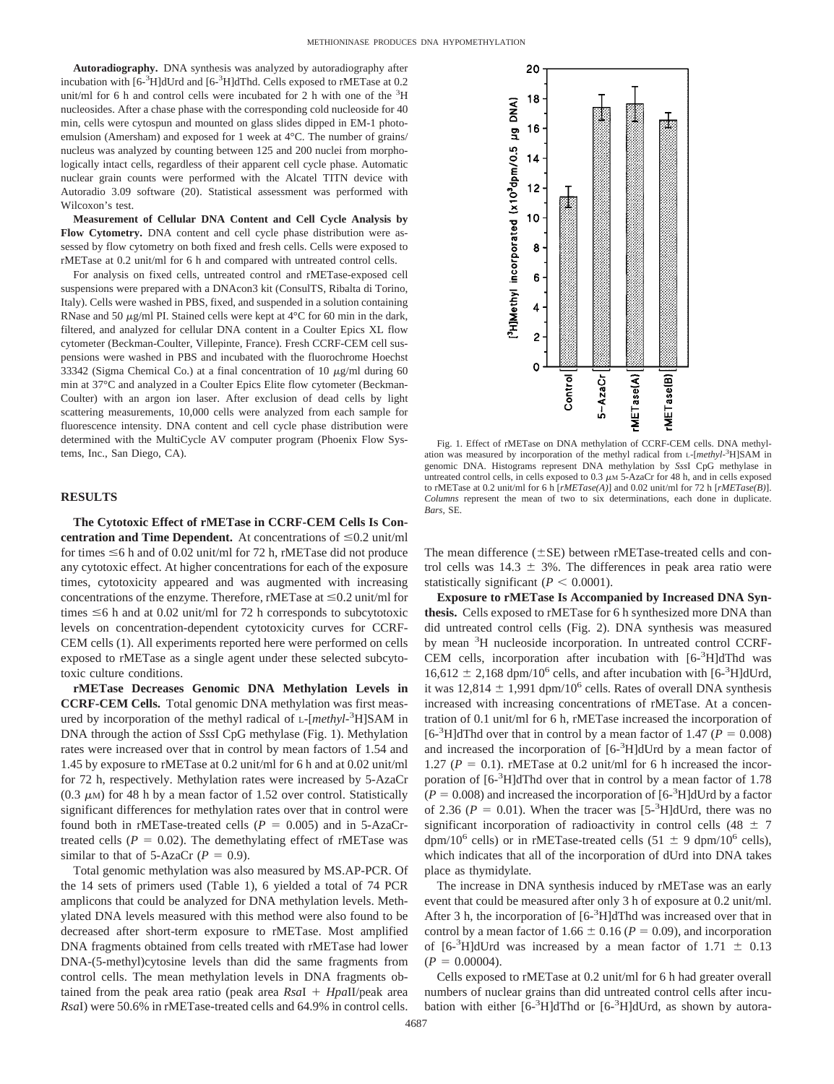**Autoradiography.** DNA synthesis was analyzed by autoradiography after incubation with [6-3H]dUrd and [6-3H]dThd. Cells exposed to rMETase at 0.2 unit/ml for 6 h and control cells were incubated for 2 h with one of the  ${}^{3}H$ nucleosides. After a chase phase with the corresponding cold nucleoside for 40 min, cells were cytospun and mounted on glass slides dipped in EM-1 photoemulsion (Amersham) and exposed for 1 week at 4°C. The number of grains/ nucleus was analyzed by counting between 125 and 200 nuclei from morphologically intact cells, regardless of their apparent cell cycle phase. Automatic nuclear grain counts were performed with the Alcatel TITN device with Autoradio 3.09 software (20). Statistical assessment was performed with Wilcoxon's test.

**Measurement of Cellular DNA Content and Cell Cycle Analysis by Flow Cytometry.** DNA content and cell cycle phase distribution were assessed by flow cytometry on both fixed and fresh cells. Cells were exposed to rMETase at 0.2 unit/ml for 6 h and compared with untreated control cells.

For analysis on fixed cells, untreated control and rMETase-exposed cell suspensions were prepared with a DNAcon3 kit (ConsulTS, Ribalta di Torino, Italy). Cells were washed in PBS, fixed, and suspended in a solution containing RNase and 50  $\mu$ g/ml PI. Stained cells were kept at 4°C for 60 min in the dark, filtered, and analyzed for cellular DNA content in a Coulter Epics XL flow cytometer (Beckman-Coulter, Villepinte, France). Fresh CCRF-CEM cell suspensions were washed in PBS and incubated with the fluorochrome Hoechst 33342 (Sigma Chemical Co.) at a final concentration of 10  $\mu$ g/ml during 60 min at 37°C and analyzed in a Coulter Epics Elite flow cytometer (Beckman-Coulter) with an argon ion laser. After exclusion of dead cells by light scattering measurements, 10,000 cells were analyzed from each sample for fluorescence intensity. DNA content and cell cycle phase distribution were determined with the MultiCycle AV computer program (Phoenix Flow Systems, Inc., San Diego, CA).

# **RESULTS**

**The Cytotoxic Effect of rMETase in CCRF-CEM Cells Is Concentration and Time Dependent.** At concentrations of  $\leq 0.2$  unit/ml for times  $\leq 6$  h and of 0.02 unit/ml for 72 h, rMETase did not produce any cytotoxic effect. At higher concentrations for each of the exposure times, cytotoxicity appeared and was augmented with increasing concentrations of the enzyme. Therefore, rMETase at  $\leq 0.2$  unit/ml for times  $\leq$ 6 h and at 0.02 unit/ml for 72 h corresponds to subcytotoxic levels on concentration-dependent cytotoxicity curves for CCRF-CEM cells (1). All experiments reported here were performed on cells exposed to rMETase as a single agent under these selected subcytotoxic culture conditions.

**rMETase Decreases Genomic DNA Methylation Levels in CCRF-CEM Cells.** Total genomic DNA methylation was first measured by incorporation of the methyl radical of L-[*methyl*-3 H]SAM in DNA through the action of *Sss*I CpG methylase (Fig. 1). Methylation rates were increased over that in control by mean factors of 1.54 and 1.45 by exposure to rMETase at 0.2 unit/ml for 6 h and at 0.02 unit/ml for 72 h, respectively. Methylation rates were increased by 5-AzaCr (0.3  $\mu$ M) for 48 h by a mean factor of 1.52 over control. Statistically significant differences for methylation rates over that in control were found both in rMETase-treated cells  $(P = 0.005)$  and in 5-AzaCrtreated cells ( $P = 0.02$ ). The demethylating effect of rMETase was similar to that of 5-AzaCr  $(P = 0.9)$ .

Total genomic methylation was also measured by MS.AP-PCR. Of the 14 sets of primers used (Table 1), 6 yielded a total of 74 PCR amplicons that could be analyzed for DNA methylation levels. Methylated DNA levels measured with this method were also found to be decreased after short-term exposure to rMETase. Most amplified DNA fragments obtained from cells treated with rMETase had lower DNA-(5-methyl)cytosine levels than did the same fragments from control cells. The mean methylation levels in DNA fragments obtained from the peak area ratio (peak area *Rsa*I *Hpa*II/peak area *Rsa*I) were 50.6% in rMETase-treated cells and 64.9% in control cells.



Fig. 1. Effect of rMETase on DNA methylation of CCRF-CEM cells. DNA methylation was measured by incorporation of the methyl radical from L-[*methyl*-3 H]SAM in genomic DNA. Histograms represent DNA methylation by *Sss*I CpG methylase in untreated control cells, in cells exposed to  $0.3 \mu$ M 5-AzaCr for 48 h, and in cells exposed to rMETase at 0.2 unit/ml for6h[*rMETase(A)*] and 0.02 unit/ml for 72 h [*rMETase(B)*]. *Columns* represent the mean of two to six determinations, each done in duplicate. *Bars,* SE.

The mean difference  $(\pm SE)$  between rMETase-treated cells and control cells was  $14.3 \pm 3\%$ . The differences in peak area ratio were statistically significant ( $P < 0.0001$ ).

**Exposure to rMETase Is Accompanied by Increased DNA Synthesis.** Cells exposed to rMETase for 6 h synthesized more DNA than did untreated control cells (Fig. 2). DNA synthesis was measured by mean <sup>3</sup>H nucleoside incorporation. In untreated control CCRF-CEM cells, incorporation after incubation with [6-3H]dThd was  $16,612 \pm 2,168$  dpm/ $10^6$  cells, and after incubation with [6<sup>-3</sup>H]dUrd, it was  $12,814 \pm 1,991$  dpm/10<sup>6</sup> cells. Rates of overall DNA synthesis increased with increasing concentrations of rMETase. At a concentration of 0.1 unit/ml for 6 h, rMETase increased the incorporation of [6<sup>-3</sup>H]dThd over that in control by a mean factor of 1.47 ( $P = 0.008$ ) and increased the incorporation of [6-<sup>3</sup>H]dUrd by a mean factor of 1.27 ( $P = 0.1$ ). rMETase at 0.2 unit/ml for 6 h increased the incorporation of [6-<sup>3</sup>H]dThd over that in control by a mean factor of 1.78  $(P = 0.008)$  and increased the incorporation of  $[6 - 3H]$ dUrd by a factor of 2.36 ( $P = 0.01$ ). When the tracer was [5<sup>-3</sup>H]dUrd, there was no significant incorporation of radioactivity in control cells (48  $\pm$  7 dpm/10<sup>6</sup> cells) or in rMETase-treated cells (51  $\pm$  9 dpm/10<sup>6</sup> cells), which indicates that all of the incorporation of dUrd into DNA takes place as thymidylate.

The increase in DNA synthesis induced by rMETase was an early event that could be measured after only 3 h of exposure at 0.2 unit/ml. After 3 h, the incorporation of  $[6-3H]$ dThd was increased over that in control by a mean factor of 1.66  $\pm$  0.16 ( $P = 0.09$ ), and incorporation of  $[6-3H]$ dUrd was increased by a mean factor of 1.71  $\pm$  0.13  $(P = 0.00004)$ .

Cells exposed to rMETase at 0.2 unit/ml for 6 h had greater overall numbers of nuclear grains than did untreated control cells after incubation with either  $[6-3H]$ dThd or  $[6-3H]$ dUrd, as shown by autora-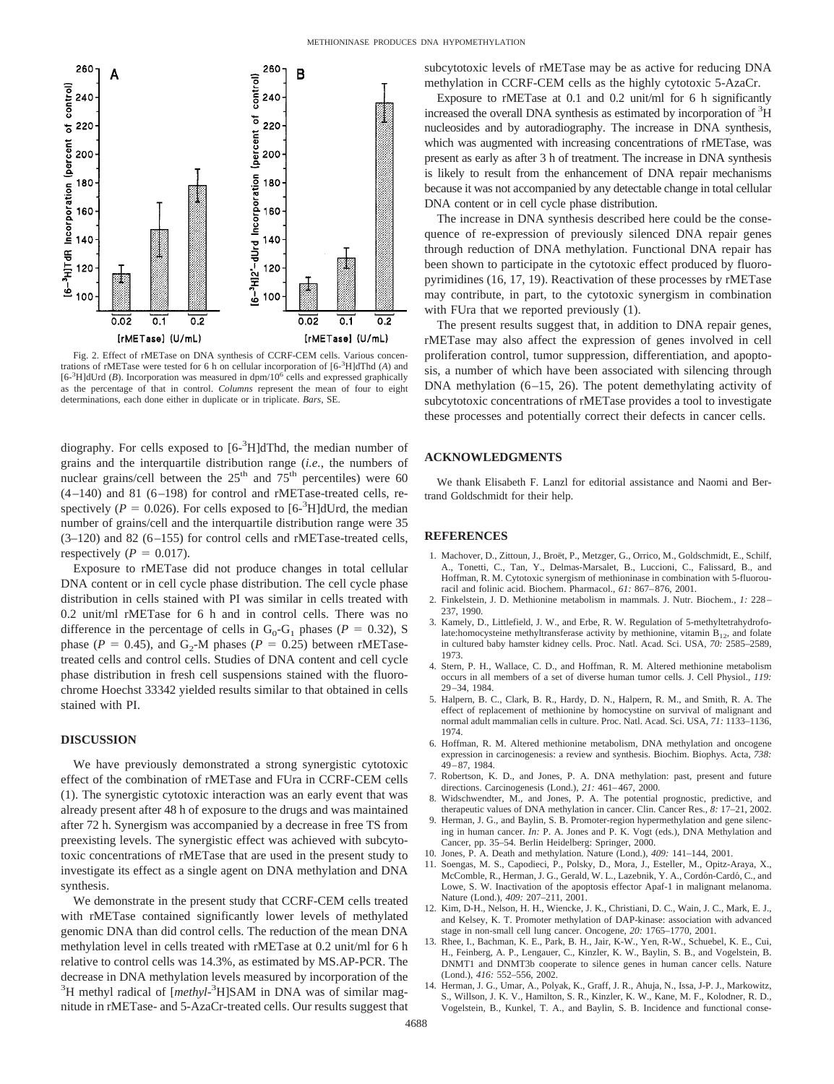

Fig. 2. Effect of rMETase on DNA synthesis of CCRF-CEM cells. Various concentrations of rMETase were tested for 6 h on cellular incorporation of [6-<sup>3</sup> H]dThd (*A*) and [6<sup>-3</sup>H]dUrd (*B*). Incorporation was measured in dpm/10<sup>6</sup> cells and expressed graphically as the percentage of that in control. *Columns* represent the mean of four to eight determinations, each done either in duplicate or in triplicate. *Bars,* SE.

diography. For cells exposed to [6-<sup>3</sup>H]dThd, the median number of grains and the interquartile distribution range (*i.e.*, the numbers of nuclear grains/cell between the  $25<sup>th</sup>$  and  $75<sup>th</sup>$  percentiles) were 60  $(4-140)$  and 81  $(6-198)$  for control and rMETase-treated cells, respectively ( $P = 0.026$ ). For cells exposed to [ $6\text{-}{}^{3}$ H]dUrd, the median number of grains/cell and the interquartile distribution range were 35 (3–120) and 82 (6–155) for control cells and rMETase-treated cells, respectively ( $P = 0.017$ ).

Exposure to rMETase did not produce changes in total cellular DNA content or in cell cycle phase distribution. The cell cycle phase distribution in cells stained with PI was similar in cells treated with 0.2 unit/ml rMETase for 6 h and in control cells. There was no difference in the percentage of cells in  $G_0$ - $G_1$  phases (*P* = 0.32), S phase ( $P = 0.45$ ), and G<sub>2</sub>-M phases ( $P = 0.25$ ) between rMETasetreated cells and control cells. Studies of DNA content and cell cycle phase distribution in fresh cell suspensions stained with the fluorochrome Hoechst 33342 yielded results similar to that obtained in cells stained with PI.

# **DISCUSSION**

We have previously demonstrated a strong synergistic cytotoxic effect of the combination of rMETase and FUra in CCRF-CEM cells (1). The synergistic cytotoxic interaction was an early event that was already present after 48 h of exposure to the drugs and was maintained after 72 h. Synergism was accompanied by a decrease in free TS from preexisting levels. The synergistic effect was achieved with subcytotoxic concentrations of rMETase that are used in the present study to investigate its effect as a single agent on DNA methylation and DNA synthesis.

We demonstrate in the present study that CCRF-CEM cells treated with rMETase contained significantly lower levels of methylated genomic DNA than did control cells. The reduction of the mean DNA methylation level in cells treated with rMETase at 0.2 unit/ml for 6 h relative to control cells was 14.3%, as estimated by MS.AP-PCR. The decrease in DNA methylation levels measured by incorporation of the <sup>3</sup>H methyl radical of [methyl-<sup>3</sup>H]SAM in DNA was of similar magnitude in rMETase- and 5-AzaCr-treated cells. Our results suggest that

subcytotoxic levels of rMETase may be as active for reducing DNA methylation in CCRF-CEM cells as the highly cytotoxic 5-AzaCr.

Exposure to rMETase at 0.1 and 0.2 unit/ml for 6 h significantly increased the overall DNA synthesis as estimated by incorporation of <sup>3</sup>H nucleosides and by autoradiography. The increase in DNA synthesis, which was augmented with increasing concentrations of rMETase, was present as early as after 3 h of treatment. The increase in DNA synthesis is likely to result from the enhancement of DNA repair mechanisms because it was not accompanied by any detectable change in total cellular DNA content or in cell cycle phase distribution.

The increase in DNA synthesis described here could be the consequence of re-expression of previously silenced DNA repair genes through reduction of DNA methylation. Functional DNA repair has been shown to participate in the cytotoxic effect produced by fluoropyrimidines (16, 17, 19). Reactivation of these processes by rMETase may contribute, in part, to the cytotoxic synergism in combination with FUra that we reported previously (1).

The present results suggest that, in addition to DNA repair genes, rMETase may also affect the expression of genes involved in cell proliferation control, tumor suppression, differentiation, and apoptosis, a number of which have been associated with silencing through DNA methylation (6–15, 26). The potent demethylating activity of subcytotoxic concentrations of rMETase provides a tool to investigate these processes and potentially correct their defects in cancer cells.

# **ACKNOWLEDGMENTS**

We thank Elisabeth F. Lanzl for editorial assistance and Naomi and Bertrand Goldschmidt for their help.

# **REFERENCES**

- 1. Machover, D., Zittoun, J., Broët, P., Metzger, G., Orrico, M., Goldschmidt, E., Schilf, A., Tonetti, C., Tan, Y., Delmas-Marsalet, B., Luccioni, C., Falissard, B., and Hoffman, R. M. Cytotoxic synergism of methioninase in combination with 5-fluorouracil and folinic acid. Biochem. Pharmacol., *61:* 867–876, 2001.
- 2. Finkelstein, J. D. Methionine metabolism in mammals. J. Nutr. Biochem., *1:* 228– 237, 1990.
- 3. Kamely, D., Littlefield, J. W., and Erbe, R. W. Regulation of 5-methyltetrahydrofolate:homocysteine methyltransferase activity by methionine, vitamin  $B_{12}$ , and folate in cultured baby hamster kidney cells. Proc. Natl. Acad. Sci. USA, *70:* 2585–2589, 1973.
- 4. Stern, P. H., Wallace, C. D., and Hoffman, R. M. Altered methionine metabolism occurs in all members of a set of diverse human tumor cells. J. Cell Physiol., *119:* 29–34, 1984.
- 5. Halpern, B. C., Clark, B. R., Hardy, D. N., Halpern, R. M., and Smith, R. A. The effect of replacement of methionine by homocystine on survival of malignant and normal adult mammalian cells in culture. Proc. Natl. Acad. Sci. USA, *71:* 1133–1136, 1974.
- 6. Hoffman, R. M. Altered methionine metabolism, DNA methylation and oncogene expression in carcinogenesis: a review and synthesis. Biochim. Biophys. Acta, *738:* 49–87, 1984.
- 7. Robertson, K. D., and Jones, P. A. DNA methylation: past, present and future directions. Carcinogenesis (Lond.), *21:* 461–467, 2000.
- 8. Widschwendter, M., and Jones, P. A. The potential prognostic, predictive, and therapeutic values of DNA methylation in cancer. Clin. Cancer Res., *8:* 17–21, 2002.
- 9. Herman, J. G., and Baylin, S. B. Promoter-region hypermethylation and gene silencing in human cancer. *In:* P. A. Jones and P. K. Vogt (eds.), DNA Methylation and Cancer, pp. 35–54. Berlin Heidelberg: Springer, 2000.
- 10. Jones, P. A. Death and methylation. Nature (Lond.), *409:* 141–144, 2001.
- 11. Soengas, M. S., Capodieci, P., Polsky, D., Mora, J., Esteller, M., Opitz-Araya, X., McComble, R., Herman, J. G., Gerald, W. L., Lazebnik, Y. A., Cordón-Cardó, C., and Lowe, S. W. Inactivation of the apoptosis effector Apaf-1 in malignant melanoma. Nature (Lond.), *409:* 207–211, 2001.
- 12. Kim, D-H., Nelson, H. H., Wiencke, J. K., Christiani, D. C., Wain, J. C., Mark, E. J., and Kelsey, K. T. Promoter methylation of DAP-kinase: association with advanced stage in non-small cell lung cancer. Oncogene, *20:* 1765–1770, 2001.
- 13. Rhee, I., Bachman, K. E., Park, B. H., Jair, K-W., Yen, R-W., Schuebel, K. E., Cui, H., Feinberg, A. P., Lengauer, C., Kinzler, K. W., Baylin, S. B., and Vogelstein, B. DNMT1 and DNMT3b cooperate to silence genes in human cancer cells. Nature (Lond.), *416:* 552–556, 2002.
- 14. Herman, J. G., Umar, A., Polyak, K., Graff, J. R., Ahuja, N., Issa, J-P. J., Markowitz, S., Willson, J. K. V., Hamilton, S. R., Kinzler, K. W., Kane, M. F., Kolodner, R. D., Vogelstein, B., Kunkel, T. A., and Baylin, S. B. Incidence and functional conse-